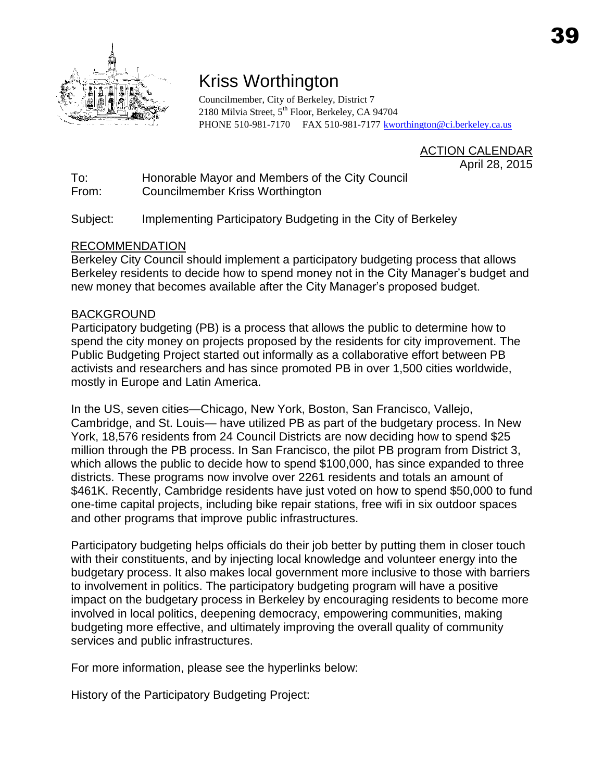

## Kriss Worthington

Councilmember, City of Berkeley, District 7 2180 Milvia Street, 5<sup>th</sup> Floor, Berkeley, CA 94704 PHONE 510-981-7170 FAX 510-981-7177 [kworthington@ci.berkeley.ca.us](mailto:kworthington@ci.berkeley.ca.us)

> ACTION CALENDAR April 28, 2015

To: Honorable Mayor and Members of the City Council From: Councilmember Kriss Worthington

Subject: Implementing Participatory Budgeting in the City of Berkeley

## RECOMMENDATION

Berkeley City Council should implement a participatory budgeting process that allows Berkeley residents to decide how to spend money not in the City Manager's budget and new money that becomes available after the City Manager's proposed budget.

## **BACKGROUND**

Participatory budgeting (PB) is a process that allows the public to determine how to spend the city money on projects proposed by the residents for city improvement. The Public Budgeting Project started out informally as a collaborative effort between PB activists and researchers and has since promoted PB in over 1,500 cities worldwide, mostly in Europe and Latin America.

In the US, seven cities—Chicago, New York, Boston, San Francisco, Vallejo, Cambridge, and St. Louis— have utilized PB as part of the budgetary process. In New York, 18,576 residents from 24 Council Districts are now deciding how to spend \$25 million through the PB process. In San Francisco, the pilot PB program from District 3, which allows the public to decide how to spend \$100,000, has since expanded to three districts. These programs now involve over 2261 residents and totals an amount of \$461K. Recently, Cambridge residents have just voted on how to spend \$50,000 to fund one-time capital projects, including bike repair stations, free wifi in six outdoor spaces and other programs that improve public infrastructures.

Participatory budgeting helps officials do their job better by putting them in closer touch with their constituents, and by injecting local knowledge and volunteer energy into the budgetary process. It also makes local government more inclusive to those with barriers to involvement in politics. The participatory budgeting program will have a positive impact on the budgetary process in Berkeley by encouraging residents to become more involved in local politics, deepening democracy, empowering communities, making budgeting more effective, and ultimately improving the overall quality of community services and public infrastructures.

For more information, please see the hyperlinks below:

History of the Participatory Budgeting Project: